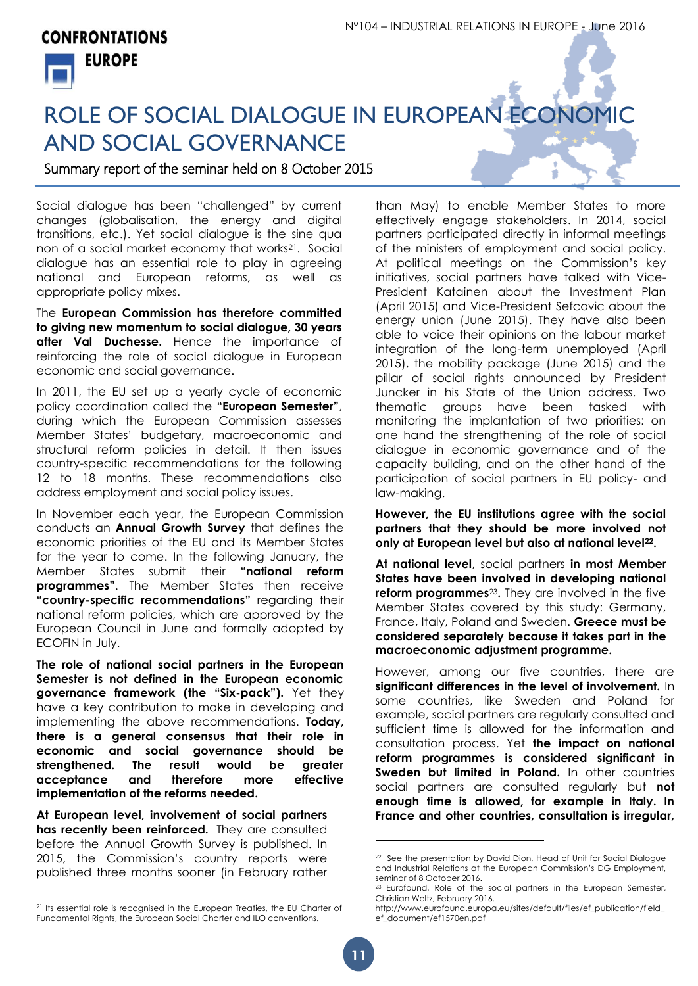## **CONFRONTATIONS EUROPE**



## ROLE OF SOCIAL DIALOGUE IN EUROPEAN ECONOMIC AND SOCIAL GOVERNANCE

Summary report of the seminar held on 8 October 2015

Social dialogue has been "challenged" by current changes (globalisation, the energy and digital transitions, etc.). Yet social dialogue is the sine qua non of a social market economy that works<sup>21</sup>. Social dialogue has an essential role to play in agreeing national and European reforms, as well as appropriate policy mixes.

The **European Commission has therefore committed to giving new momentum to social dialogue, 30 years after Val Duchesse.** Hence the importance of reinforcing the role of social dialogue in European economic and social governance.

In 2011, the EU set up a yearly cycle of economic policy coordination called the **"European Semester"**, during which the European Commission assesses Member States' budgetary, macroeconomic and structural reform policies in detail. It then issues country-specific recommendations for the following 12 to 18 months. These recommendations also address employment and social policy issues.

In November each year, the European Commission conducts an **Annual Growth Survey** that defines the economic priorities of the EU and its Member States for the year to come. In the following January, the Member States submit their **"national reform programmes"**. The Member States then receive **"country-specific recommendations"** regarding their national reform policies, which are approved by the European Council in June and formally adopted by ECOFIN in July.

**The role of national social partners in the European Semester is not defined in the European economic governance framework (the "Six-pack").** Yet they have a key contribution to make in developing and implementing the above recommendations. **Today, there is a general consensus that their role in economic and social governance should be strengthened. The result would be greater acceptance and therefore more effective implementation of the reforms needed.** 

**At European level, involvement of social partners has recently been reinforced.** They are consulted before the Annual Growth Survey is published. In 2015, the Commission's country reports were published three months sooner (in February rather

l

than May) to enable Member States to more effectively engage stakeholders. In 2014, social partners participated directly in informal meetings of the ministers of employment and social policy. At political meetings on the Commission's key initiatives, social partners have talked with Vice-President Katainen about the Investment Plan (April 2015) and Vice-President Sefcovic about the energy union (June 2015). They have also been able to voice their opinions on the labour market integration of the long-term unemployed (April 2015), the mobility package (June 2015) and the pillar of social rights announced by President Juncker in his State of the Union address. Two thematic groups have been tasked with monitoring the implantation of two priorities: on one hand the strengthening of the role of social dialogue in economic governance and of the capacity building, and on the other hand of the participation of social partners in EU policy- and law-making.

**However, the EU institutions agree with the social partners that they should be more involved not only at European level but also at national level22.**

**At national level**, social partners **in most Member States have been involved in developing national reform programmes**23**.** They are involved in the five Member States covered by this study: Germany, France, Italy, Poland and Sweden. **Greece must be considered separately because it takes part in the macroeconomic adjustment programme.** 

However, among our five countries, there are **significant differences in the level of involvement.** In some countries, like Sweden and Poland for example, social partners are regularly consulted and sufficient time is allowed for the information and consultation process. Yet **the impact on national reform programmes is considered significant in Sweden but limited in Poland.** In other countries social partners are consulted regularly but **not enough time is allowed, for example in Italy. In France and other countries, consultation is irregular,** 

 $\overline{a}$ 

<sup>&</sup>lt;sup>21</sup> Its essential role is recognised in the European Treaties, the EU Charter of Fundamental Rights, the European Social Charter and ILO conventions.

<sup>&</sup>lt;sup>22</sup> See the presentation by David Dion, Head of Unit for Social Dialogue and Industrial Relations at the European Commission's DG Employment, seminar of 8 October 2016.

 $23$  Eurofound, Role of the social partners in the European Semester, Christian Weltz, February 2016.

http://www.eurofound.europa.eu/sites/default/files/ef\_publication/field\_ ef\_document/ef1570en.pdf